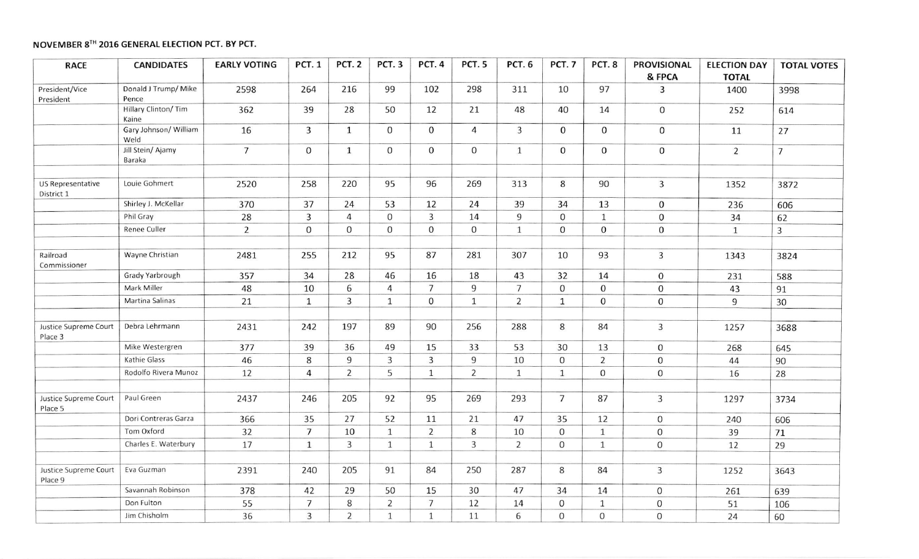## NOVEMBER 8TH 2016 GENERAL ELECTION PCT. BY PCT.

| <b>RACE</b>                      | <b>CANDIDATES</b>             | <b>EARLY VOTING</b> | <b>PCT. 1</b>  | <b>PCT. 2</b>  | <b>PCT.3</b>   | <b>PCT. 4</b>  | PCT.5          | <b>PCT.6</b>   | <b>PCT.7</b>   | PCT.8            | <b>PROVISIONAL</b><br>& FPCA | <b>ELECTION DAY</b><br><b>TOTAL</b> | <b>TOTAL VOTES</b> |
|----------------------------------|-------------------------------|---------------------|----------------|----------------|----------------|----------------|----------------|----------------|----------------|------------------|------------------------------|-------------------------------------|--------------------|
| President/Vice<br>President      | Donald J Trump/ Mike<br>Pence | 2598                | 264            | 216            | 99             | 102            | 298            | 311            | 10             | 97               | 3                            | 1400                                | 3998               |
|                                  | Hillary Clinton/ Tim<br>Kaine | 362                 | 39             | 28             | 50             | 12             | 21             | 48             | 40             | 14               | $\mathbf 0$                  | 252                                 | 614                |
|                                  | Gary Johnson/ William<br>Weld | 16                  | 3              | $\mathbf{1}$   | 0              | $\mathbf 0$    | 4              | $\overline{3}$ | $\mathbf 0$    | 0                | $\mathbf 0$                  | 11                                  | 27                 |
|                                  | Jill Stein/ Ajamy<br>Baraka   | $\overline{7}$      | $\mathbf{O}$   | $\mathbf{1}$   | $\mathbf 0$    | $\overline{0}$ | $\mathbf 0$    | $\mathbf{1}$   | $\mathbf 0$    | $\mathbf{O}$     | $\boldsymbol{0}$             | $\overline{2}$                      | $\overline{7}$     |
| US Representative<br>District 1  | Louie Gohmert                 | 2520                | 258            | 220            | 95             | 96             | 269            | 313            | 8              | 90               | $\overline{3}$               | 1352                                | 3872               |
|                                  | Shirley J. McKellar           | 370                 | 37             | 24             | 53             | 12             | 24             | 39             | 34             | 13               | $\mathbf 0$                  | 236                                 | 606                |
|                                  | Phil Gray                     | 28                  | $\overline{3}$ | $\overline{4}$ | $\overline{0}$ | $\overline{3}$ | 14             | 9              | $\mathbf 0$    | $\mathbf{1}$     | $\mathbf 0$                  | 34                                  | 62                 |
|                                  | <b>Renee Culler</b>           | $\overline{2}$      | $\mathbf 0$    | $\mathbf 0$    | $\overline{0}$ | $\mathbf 0$    | $\overline{0}$ | $\mathbf{1}$   | $\mathbf 0$    | $\mathbf 0$      | 0                            | $\mathbf{1}$                        | $\overline{3}$     |
| Railroad<br>Commissioner         | Wayne Christian               | 2481                | 255            | 212            | 95             | 87             | 281            | 307            | 10             | 93               | $\overline{3}$               | 1343                                | 3824               |
|                                  | Grady Yarbrough               | 357                 | 34             | 28             | 46             | 16             | 18             | 43             | 32             | 14               | $\mathbf 0$                  | 231                                 | 588                |
|                                  | Mark Miller                   | 48                  | 10             | 6              | $\overline{4}$ | $\overline{7}$ | 9              | $\overline{7}$ | $\mathbf 0$    | $\mathbf 0$      | 0                            | 43                                  | 91                 |
|                                  | Martina Salinas               | 21                  | $\mathbf{1}$   | 3              | $\mathbf{1}$   | $\mathbf 0$    | $\mathbf{1}$   | 2              | $\mathbf{1}$   | $\mathbf 0$      | $\mathbf{O}$                 | 9                                   | 30                 |
| Justice Supreme Court<br>Place 3 | Debra Lehrmann                | 2431                | 242            | 197            | 89             | 90             | 256            | 288            | 8              | 84               | $\overline{3}$               | 1257                                | 3688               |
|                                  | Mike Westergren               | 377                 | 39             | 36             | 49             | 15             | 33             | 53             | 30             | 13               | $\mathbf 0$                  | 268                                 | 645                |
|                                  | Kathie Glass                  | 46                  | 8              | 9              | $\overline{3}$ | $\overline{3}$ | 9              | 10             | $\overline{0}$ | $\overline{2}$   | $\mathbf 0$                  | 44                                  | 90                 |
|                                  | Rodolfo Rivera Munoz          | 12                  | $\overline{4}$ | $\overline{2}$ | 5              | $\mathbf{1}$   | $\overline{2}$ | $\mathbf{1}$   | $\mathbf{1}$   | $\Omega$         | $\mathbf 0$                  | 16                                  | 28                 |
| Justice Supreme Court<br>Place 5 | Paul Green                    | 2437                | 246            | 205            | 92             | 95             | 269            | 293            | $\overline{7}$ | 87               | $\overline{3}$               | 1297                                | 3734               |
|                                  | Dori Contreras Garza          | 366                 | 35             | 27             | 52             | 11             | 21             | 47             | 35             | 12               | $\mathsf{O}\xspace$          | 240                                 | 606                |
|                                  | Tom Oxford                    | 32                  | $\overline{7}$ | 10             | $\mathbf{1}$   | $\overline{2}$ | 8              | 10             | $\overline{0}$ | $\mathbf{1}$     | $\mathbf 0$                  | 39                                  | 71                 |
|                                  | Charles E. Waterbury          | 17                  | $\mathbf{1}$   | $\overline{3}$ | $\mathbf{1}$   | $\mathbf{1}$   | $\overline{3}$ | $\overline{2}$ | $\overline{0}$ | $\mathbf{1}$     | $\mathbf{0}$                 | 12                                  | 29                 |
| Justice Supreme Court<br>Place 9 | Eva Guzman                    | 2391                | 240            | 205            | 91             | 84             | 250            | 287            | 8              | 84               | $\overline{3}$               | 1252                                | 3643               |
|                                  | Savannah Robinson             | 378                 | 42             | 29             | 50             | 15             | 30             | 47             | 34             | 14               | $\mathbf 0$                  | 261                                 | 639                |
|                                  | Don Fulton                    | 55                  | $\overline{7}$ | 8              | $\overline{2}$ | $\overline{7}$ | 12             | 14             | $\mathbf 0$    | $\mathbf{1}$     | 0                            | 51                                  | 106                |
|                                  | Jim Chisholm                  | 36                  | $\overline{3}$ | $\overline{2}$ | $\mathbf{1}$   | $\mathbf{1}$   | 11             | 6              | $\mathbf{0}$   | $\boldsymbol{0}$ | $\mathbf 0$                  | 24                                  | 60                 |